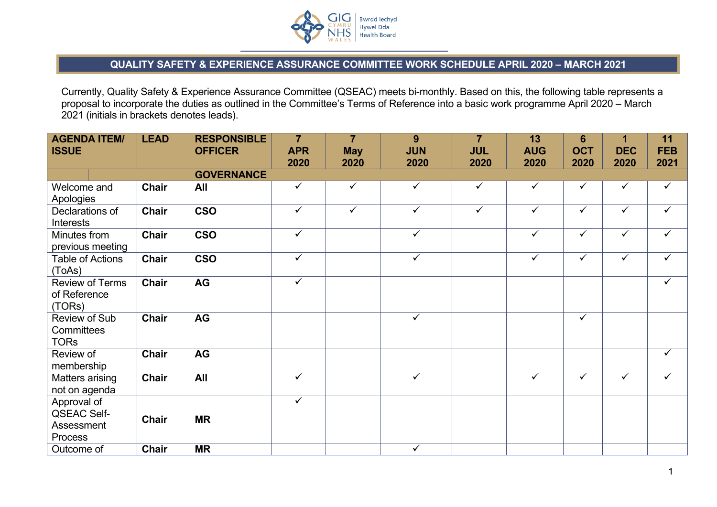

## **QUALITY SAFETY & EXPERIENCE ASSURANCE COMMITTEE WORK SCHEDULE APRIL 2020 – MARCH 2021**

Currently, Quality Safety & Experience Assurance Committee (QSEAC) meets bi-monthly. Based on this, the following table represents a proposal to incorporate the duties as outlined in the Committee's Terms of Reference into a basic work programme April 2020 – March 2021 (initials in brackets denotes leads).

| <b>AGENDA ITEM/</b><br><b>ISSUE</b>                        | <b>LEAD</b>  | <b>RESPONSIBLE</b><br><b>OFFICER</b> | $\overline{7}$<br><b>APR</b><br>2020 | $\overline{7}$<br><b>May</b><br>2020 | 9<br><b>JUN</b><br>2020 | $\overline{7}$<br><b>JUL</b><br>2020 | 13<br><b>AUG</b><br>2020 | $6\phantom{1}6$<br><b>OCT</b><br>2020 | 1<br><b>DEC</b><br>2020 | 11<br><b>FEB</b><br>2021 |
|------------------------------------------------------------|--------------|--------------------------------------|--------------------------------------|--------------------------------------|-------------------------|--------------------------------------|--------------------------|---------------------------------------|-------------------------|--------------------------|
|                                                            |              | <b>GOVERNANCE</b>                    |                                      |                                      |                         |                                      |                          |                                       |                         |                          |
| Welcome and<br>Apologies                                   | <b>Chair</b> | All                                  | $\checkmark$                         | $\checkmark$                         | $\checkmark$            | ✓                                    | ✓                        | ✓                                     | $\checkmark$            | ✓                        |
| Declarations of<br>Interests                               | <b>Chair</b> | <b>CSO</b>                           | $\overline{\checkmark}$              | $\overline{\checkmark}$              | $\overline{\checkmark}$ | $\overline{\checkmark}$              | $\checkmark$             | $\checkmark$                          | $\overline{\checkmark}$ | $\checkmark$             |
| Minutes from<br>previous meeting                           | <b>Chair</b> | <b>CSO</b>                           | $\checkmark$                         |                                      | $\checkmark$            |                                      | $\checkmark$             | $\checkmark$                          | $\checkmark$            | ✓                        |
| <b>Table of Actions</b><br>(ToAs)                          | <b>Chair</b> | <b>CSO</b>                           | $\checkmark$                         |                                      | $\checkmark$            |                                      | $\checkmark$             | $\checkmark$                          | $\checkmark$            | ✓                        |
| <b>Review of Terms</b><br>of Reference<br>(TORs)           | <b>Chair</b> | AG                                   | $\checkmark$                         |                                      |                         |                                      |                          |                                       |                         | $\checkmark$             |
| Review of Sub<br>Committees<br><b>TORs</b>                 | <b>Chair</b> | AG                                   |                                      |                                      | $\checkmark$            |                                      |                          | $\checkmark$                          |                         |                          |
| Review of<br>membership                                    | <b>Chair</b> | AG                                   |                                      |                                      |                         |                                      |                          |                                       |                         | ✓                        |
| Matters arising<br>not on agenda                           | <b>Chair</b> | All                                  | $\checkmark$                         |                                      | $\checkmark$            |                                      | $\checkmark$             | $\checkmark$                          | $\checkmark$            | $\checkmark$             |
| Approval of<br><b>QSEAC Self-</b><br>Assessment<br>Process | <b>Chair</b> | <b>MR</b>                            | $\checkmark$                         |                                      |                         |                                      |                          |                                       |                         |                          |
| Outcome of                                                 | <b>Chair</b> | <b>MR</b>                            |                                      |                                      | $\checkmark$            |                                      |                          |                                       |                         |                          |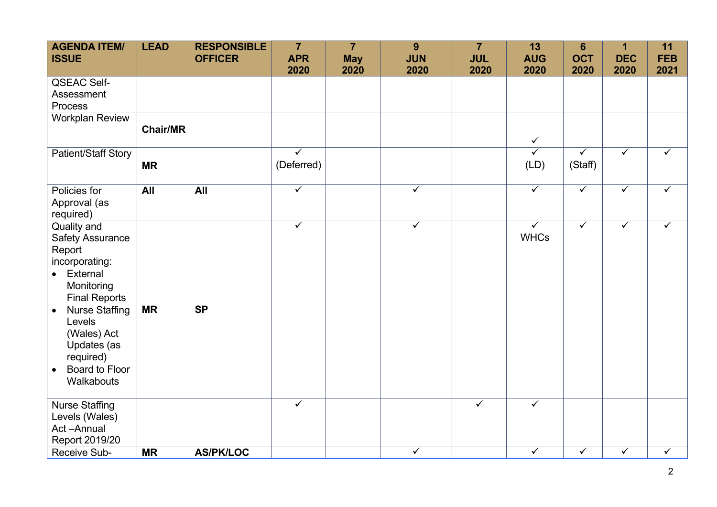| <b>AGENDA ITEM/</b><br><b>ISSUE</b>                                                                                                                                                                                                                                       | <b>LEAD</b>     | <b>RESPONSIBLE</b><br><b>OFFICER</b> | $\overline{7}$<br><b>APR</b><br>2020  | $\overline{7}$<br><b>May</b><br>2020 | 9<br><b>JUN</b><br>2020 | $\overline{7}$<br><b>JUL</b><br>2020 | 13<br><b>AUG</b><br>2020               | $6\phantom{1}6$<br><b>OCT</b><br>2020 | 1<br><b>DEC</b><br>2020 | 11<br><b>FEB</b><br>2021 |
|---------------------------------------------------------------------------------------------------------------------------------------------------------------------------------------------------------------------------------------------------------------------------|-----------------|--------------------------------------|---------------------------------------|--------------------------------------|-------------------------|--------------------------------------|----------------------------------------|---------------------------------------|-------------------------|--------------------------|
| QSEAC Self-<br>Assessment<br>Process                                                                                                                                                                                                                                      |                 |                                      |                                       |                                      |                         |                                      |                                        |                                       |                         |                          |
| <b>Workplan Review</b>                                                                                                                                                                                                                                                    | <b>Chair/MR</b> |                                      |                                       |                                      |                         |                                      | $\checkmark$                           |                                       |                         |                          |
| Patient/Staff Story                                                                                                                                                                                                                                                       | <b>MR</b>       |                                      | $\overline{\checkmark}$<br>(Deferred) |                                      |                         |                                      | $\overline{\checkmark}$<br>(LD)        | $\overline{\checkmark}$<br>(Staff)    | $\overline{\checkmark}$ | ✓                        |
| Policies for<br>Approval (as<br>required)                                                                                                                                                                                                                                 | <b>All</b>      | All                                  | $\overline{\checkmark}$               |                                      | $\overline{\checkmark}$ |                                      | $\overline{\checkmark}$                | $\overline{\checkmark}$               | $\overline{\checkmark}$ | ✓                        |
| Quality and<br><b>Safety Assurance</b><br>Report<br>incorporating:<br>External<br>$\bullet$<br>Monitoring<br><b>Final Reports</b><br><b>Nurse Staffing</b><br>$\bullet$<br>Levels<br>(Wales) Act<br>Updates (as<br>required)<br>Board to Floor<br>$\bullet$<br>Walkabouts | <b>MR</b>       | <b>SP</b>                            | $\overline{\checkmark}$               |                                      | $\overline{\checkmark}$ |                                      | $\overline{\checkmark}$<br><b>WHCs</b> | $\checkmark$                          | $\checkmark$            | $\checkmark$             |
| <b>Nurse Staffing</b><br>Levels (Wales)<br>Act-Annual<br>Report 2019/20                                                                                                                                                                                                   |                 |                                      | $\checkmark$                          |                                      |                         | $\checkmark$                         | $\checkmark$                           |                                       |                         |                          |
| Receive Sub-                                                                                                                                                                                                                                                              | <b>MR</b>       | <b>AS/PK/LOC</b>                     |                                       |                                      | $\checkmark$            |                                      | $\checkmark$                           | $\checkmark$                          | $\checkmark$            | $\checkmark$             |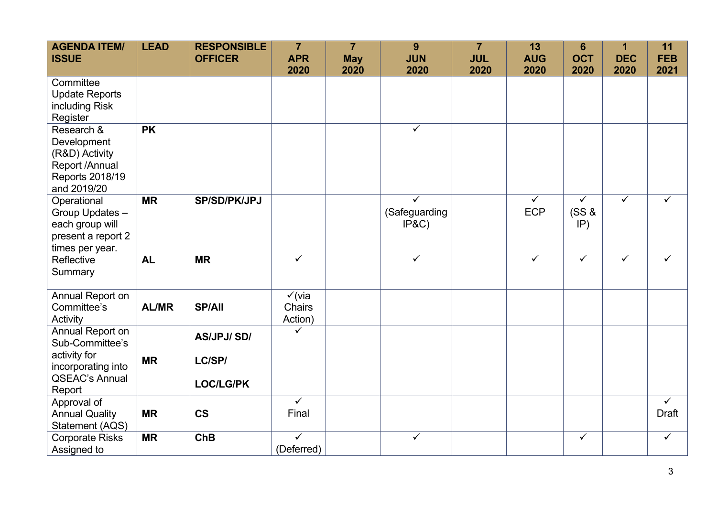| <b>AGENDA ITEM/</b><br><b>ISSUE</b>                                                             | <b>LEAD</b>  | <b>RESPONSIBLE</b><br><b>OFFICER</b> | $\overline{7}$<br><b>APR</b><br>2020   | $\overline{7}$<br><b>May</b><br>2020 | 9<br><b>JUN</b><br>2020                           | $\overline{7}$<br><b>JUL</b><br>2020 | 13<br><b>AUG</b><br>2020              | $6\phantom{1}6$<br><b>OCT</b><br>2020   | $\mathbf{1}$<br><b>DEC</b><br>2020 | 11<br><b>FEB</b><br>2021         |
|-------------------------------------------------------------------------------------------------|--------------|--------------------------------------|----------------------------------------|--------------------------------------|---------------------------------------------------|--------------------------------------|---------------------------------------|-----------------------------------------|------------------------------------|----------------------------------|
| Committee<br><b>Update Reports</b><br>including Risk<br>Register                                |              |                                      |                                        |                                      |                                                   |                                      |                                       |                                         |                                    |                                  |
| Research &<br>Development<br>(R&D) Activity<br>Report /Annual<br>Reports 2018/19<br>and 2019/20 | <b>PK</b>    |                                      |                                        |                                      | $\overline{\checkmark}$                           |                                      |                                       |                                         |                                    |                                  |
| Operational<br>Group Updates -<br>each group will<br>present a report 2<br>times per year.      | <b>MR</b>    | <b>SP/SD/PK/JPJ</b>                  |                                        |                                      | $\overline{\checkmark}$<br>(Safeguarding<br>IP&C) |                                      | $\overline{\checkmark}$<br><b>ECP</b> | $\overline{\checkmark}$<br>(SS &<br>IP) | $\overline{\checkmark}$            | $\overline{\checkmark}$          |
| Reflective<br>Summary                                                                           | <b>AL</b>    | <b>MR</b>                            | $\overline{\checkmark}$                |                                      | $\overline{\checkmark}$                           |                                      | $\overline{\checkmark}$               | $\overline{\checkmark}$                 | $\checkmark$                       | $\checkmark$                     |
| Annual Report on<br>Committee's<br>Activity                                                     | <b>AL/MR</b> | <b>SP/All</b>                        | $\checkmark$ (via<br>Chairs<br>Action) |                                      |                                                   |                                      |                                       |                                         |                                    |                                  |
| Annual Report on<br>Sub-Committee's<br>activity for                                             | <b>MR</b>    | <b>AS/JPJ/SD/</b><br>LC/SP/          | ✓                                      |                                      |                                                   |                                      |                                       |                                         |                                    |                                  |
| incorporating into<br><b>QSEAC's Annual</b><br>Report                                           |              | <b>LOC/LG/PK</b>                     |                                        |                                      |                                                   |                                      |                                       |                                         |                                    |                                  |
| Approval of<br><b>Annual Quality</b><br>Statement (AQS)                                         | <b>MR</b>    | <b>CS</b>                            | $\overline{\checkmark}$<br>Final       |                                      |                                                   |                                      |                                       |                                         |                                    | $\overline{\checkmark}$<br>Draft |
| <b>Corporate Risks</b><br>Assigned to                                                           | <b>MR</b>    | <b>ChB</b>                           | $\overline{\checkmark}$<br>(Deferred)  |                                      | $\overline{\checkmark}$                           |                                      |                                       | $\checkmark$                            |                                    | $\checkmark$                     |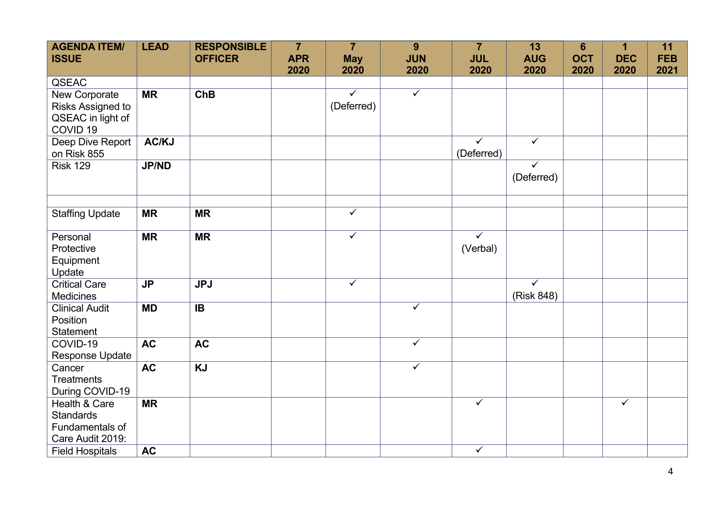| <b>AGENDA ITEM/</b><br><b>ISSUE</b>                                                     | <b>LEAD</b>              | <b>RESPONSIBLE</b><br><b>OFFICER</b> | $\overline{7}$<br><b>APR</b> | $\overline{7}$<br><b>May</b>          | 9<br><b>JUN</b>         | $\overline{7}$<br><b>JUL</b>          | 13<br><b>AUG</b>                      | $6\phantom{1}6$<br><b>OCT</b> | $\mathbf{1}$<br><b>DEC</b> | 11<br><b>FEB</b> |
|-----------------------------------------------------------------------------------------|--------------------------|--------------------------------------|------------------------------|---------------------------------------|-------------------------|---------------------------------------|---------------------------------------|-------------------------------|----------------------------|------------------|
|                                                                                         |                          |                                      | 2020                         | 2020                                  | 2020                    | 2020                                  | 2020                                  | 2020                          | 2020                       | 2021             |
| QSEAC<br>New Corporate<br>Risks Assigned to<br>QSEAC in light of<br>COVID <sub>19</sub> | $\overline{\mathsf{MR}}$ | ChB                                  |                              | $\overline{\checkmark}$<br>(Deferred) | $\overline{\checkmark}$ |                                       |                                       |                               |                            |                  |
| Deep Dive Report<br>on Risk 855                                                         | AC/KJ                    |                                      |                              |                                       |                         | $\overline{\checkmark}$<br>(Deferred) | $\overline{\checkmark}$               |                               |                            |                  |
| <b>Risk 129</b>                                                                         | <b>JP/ND</b>             |                                      |                              |                                       |                         |                                       | $\overline{\checkmark}$<br>(Deferred) |                               |                            |                  |
| <b>Staffing Update</b>                                                                  | <b>MR</b>                | <b>MR</b>                            |                              | $\overline{\checkmark}$               |                         |                                       |                                       |                               |                            |                  |
| Personal<br>Protective<br>Equipment<br>Update                                           | <b>MR</b>                | <b>MR</b>                            |                              | $\overline{\checkmark}$               |                         | $\overline{\checkmark}$<br>(Verbal)   |                                       |                               |                            |                  |
| <b>Critical Care</b><br><b>Medicines</b>                                                | <b>JP</b>                | <b>JPJ</b>                           |                              | $\checkmark$                          |                         |                                       | $\overline{\checkmark}$<br>(Risk 848) |                               |                            |                  |
| <b>Clinical Audit</b><br>Position<br><b>Statement</b>                                   | <b>MD</b>                | <b>IB</b>                            |                              |                                       | $\checkmark$            |                                       |                                       |                               |                            |                  |
| COVID-19<br><b>Response Update</b>                                                      | <b>AC</b>                | <b>AC</b>                            |                              |                                       | $\checkmark$            |                                       |                                       |                               |                            |                  |
| Cancer<br><b>Treatments</b><br>During COVID-19                                          | <b>AC</b>                | <b>KJ</b>                            |                              |                                       | $\overline{\checkmark}$ |                                       |                                       |                               |                            |                  |
| Health & Care<br><b>Standards</b><br>Fundamentals of<br>Care Audit 2019:                | <b>MR</b>                |                                      |                              |                                       |                         | $\checkmark$                          |                                       |                               | $\overline{\checkmark}$    |                  |
| <b>Field Hospitals</b>                                                                  | <b>AC</b>                |                                      |                              |                                       |                         | $\checkmark$                          |                                       |                               |                            |                  |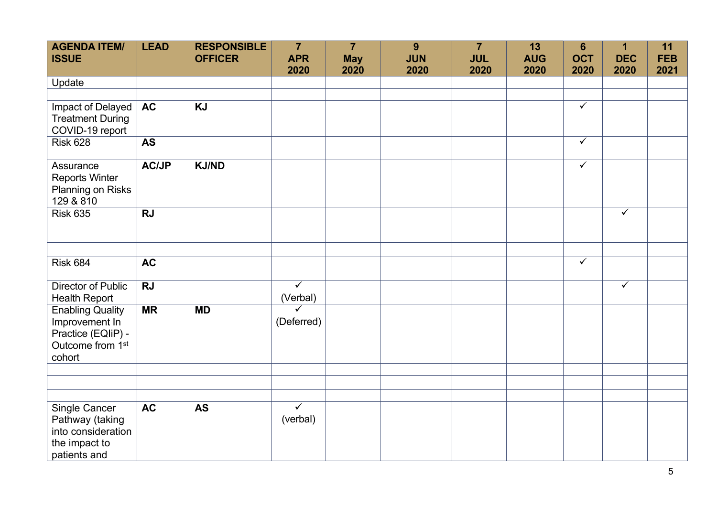| <b>AGENDA ITEM/</b><br><b>ISSUE</b>                                                                       | <b>LEAD</b>  | <b>RESPONSIBLE</b><br><b>OFFICER</b> | $\overline{7}$<br><b>APR</b><br>2020 | $\overline{7}$<br><b>May</b><br>2020 | 9<br><b>JUN</b><br>2020 | $\overline{7}$<br><b>JUL</b><br>2020 | 13<br><b>AUG</b><br>2020 | $6\phantom{1}6$<br><b>OCT</b><br>2020 | $\mathbf 1$<br><b>DEC</b><br>2020 | 11<br><b>FEB</b><br>2021 |
|-----------------------------------------------------------------------------------------------------------|--------------|--------------------------------------|--------------------------------------|--------------------------------------|-------------------------|--------------------------------------|--------------------------|---------------------------------------|-----------------------------------|--------------------------|
| Update                                                                                                    |              |                                      |                                      |                                      |                         |                                      |                          |                                       |                                   |                          |
|                                                                                                           |              |                                      |                                      |                                      |                         |                                      |                          |                                       |                                   |                          |
| Impact of Delayed<br><b>Treatment During</b><br>COVID-19 report                                           | <b>AC</b>    | <b>KJ</b>                            |                                      |                                      |                         |                                      |                          | $\checkmark$                          |                                   |                          |
| <b>Risk 628</b>                                                                                           | <b>AS</b>    |                                      |                                      |                                      |                         |                                      |                          | $\checkmark$                          |                                   |                          |
| Assurance<br><b>Reports Winter</b><br>Planning on Risks<br>129 & 810                                      | <b>AC/JP</b> | <b>KJ/ND</b>                         |                                      |                                      |                         |                                      |                          | $\checkmark$                          |                                   |                          |
| <b>Risk 635</b>                                                                                           | <b>RJ</b>    |                                      |                                      |                                      |                         |                                      |                          |                                       | $\checkmark$                      |                          |
|                                                                                                           |              |                                      |                                      |                                      |                         |                                      |                          |                                       |                                   |                          |
| <b>Risk 684</b>                                                                                           | <b>AC</b>    |                                      |                                      |                                      |                         |                                      |                          | $\checkmark$                          |                                   |                          |
| Director of Public<br><b>Health Report</b>                                                                | <b>RJ</b>    |                                      | $\overline{\checkmark}$<br>(Verbal)  |                                      |                         |                                      |                          |                                       | $\overline{\checkmark}$           |                          |
| <b>Enabling Quality</b><br>Improvement In<br>Practice (EQIiP) -<br>Outcome from 1 <sup>st</sup><br>cohort | <b>MR</b>    | <b>MD</b>                            | $\checkmark$<br>(Deferred)           |                                      |                         |                                      |                          |                                       |                                   |                          |
|                                                                                                           |              |                                      |                                      |                                      |                         |                                      |                          |                                       |                                   |                          |
|                                                                                                           |              |                                      |                                      |                                      |                         |                                      |                          |                                       |                                   |                          |
| Single Cancer<br>Pathway (taking<br>into consideration<br>the impact to<br>patients and                   | <b>AC</b>    | <b>AS</b>                            | $\overline{\checkmark}$<br>(verbal)  |                                      |                         |                                      |                          |                                       |                                   |                          |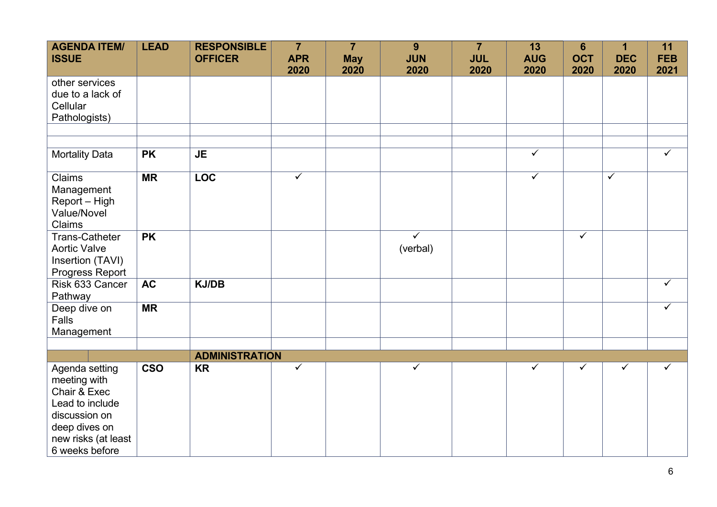| <b>AGENDA ITEM/</b><br><b>ISSUE</b>                                                                                                          | <b>LEAD</b> | <b>RESPONSIBLE</b><br><b>OFFICER</b> | $\overline{7}$<br><b>APR</b><br>2020 | $\overline{7}$<br><b>May</b><br>2020 | $\overline{9}$<br><b>JUN</b><br>2020 | $\overline{7}$<br><b>JUL</b><br>2020 | 13<br><b>AUG</b><br>2020 | $6\phantom{1}6$<br><b>OCT</b><br>2020 | 1<br><b>DEC</b><br>2020 | 11<br><b>FEB</b><br>2021 |
|----------------------------------------------------------------------------------------------------------------------------------------------|-------------|--------------------------------------|--------------------------------------|--------------------------------------|--------------------------------------|--------------------------------------|--------------------------|---------------------------------------|-------------------------|--------------------------|
| other services<br>due to a lack of<br>Cellular<br>Pathologists)                                                                              |             |                                      |                                      |                                      |                                      |                                      |                          |                                       |                         |                          |
|                                                                                                                                              |             |                                      |                                      |                                      |                                      |                                      |                          |                                       |                         |                          |
| <b>Mortality Data</b>                                                                                                                        | <b>PK</b>   | <b>JE</b>                            |                                      |                                      |                                      |                                      | $\overline{\checkmark}$  |                                       |                         | $\overline{\checkmark}$  |
| Claims<br>Management<br>Report - High<br>Value/Novel<br>Claims                                                                               | <b>MR</b>   | <b>LOC</b>                           | $\overline{\checkmark}$              |                                      |                                      |                                      | $\overline{\checkmark}$  |                                       | $\overline{\checkmark}$ |                          |
| <b>Trans-Catheter</b><br><b>Aortic Valve</b><br>Insertion (TAVI)<br>Progress Report                                                          | <b>PK</b>   |                                      |                                      |                                      | $\checkmark$<br>(verbal)             |                                      |                          | $\checkmark$                          |                         |                          |
| Risk 633 Cancer<br>Pathway                                                                                                                   | <b>AC</b>   | <b>KJ/DB</b>                         |                                      |                                      |                                      |                                      |                          |                                       |                         | $\checkmark$             |
| Deep dive on<br>Falls<br>Management                                                                                                          | <b>MR</b>   |                                      |                                      |                                      |                                      |                                      |                          |                                       |                         | $\checkmark$             |
|                                                                                                                                              |             | <b>ADMINISTRATION</b>                |                                      |                                      |                                      |                                      |                          |                                       |                         |                          |
| Agenda setting<br>meeting with<br>Chair & Exec<br>Lead to include<br>discussion on<br>deep dives on<br>new risks (at least<br>6 weeks before | <b>CSO</b>  | <b>KR</b>                            | $\checkmark$                         |                                      | $\checkmark$                         |                                      | $\checkmark$             | ✓                                     | $\checkmark$            | $\checkmark$             |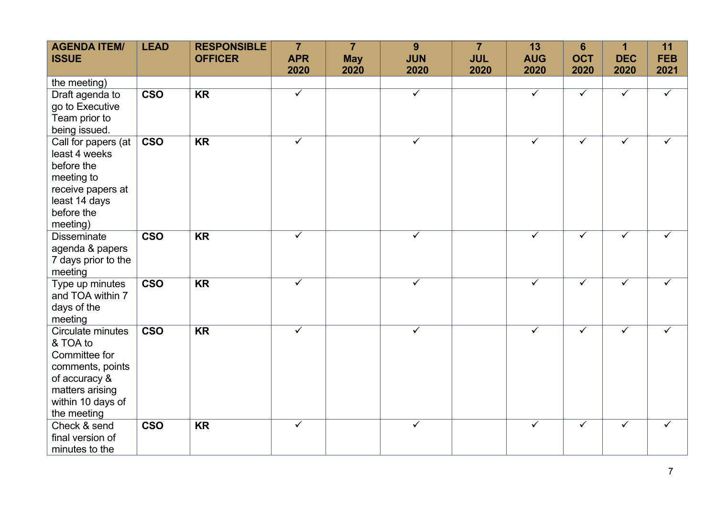| <b>AGENDA ITEM/</b><br><b>ISSUE</b> | <b>LEAD</b>             | <b>RESPONSIBLE</b><br><b>OFFICER</b> | $\overline{7}$<br><b>APR</b> | $\overline{7}$<br><b>May</b> | 9<br><b>JUN</b>         | $\overline{7}$<br><b>JUL</b> | 13<br><b>AUG</b>        | $6\phantom{1}6$<br><b>OCT</b> | 1<br><b>DEC</b>         | 11<br><b>FEB</b> |
|-------------------------------------|-------------------------|--------------------------------------|------------------------------|------------------------------|-------------------------|------------------------------|-------------------------|-------------------------------|-------------------------|------------------|
|                                     |                         |                                      | 2020                         | 2020                         | 2020                    | 2020                         | 2020                    | 2020                          | 2020                    | 2021             |
| the meeting)                        |                         |                                      |                              |                              |                         |                              |                         |                               |                         |                  |
| Draft agenda to                     | <b>CSO</b>              | <b>KR</b>                            | $\overline{\checkmark}$      |                              | $\overline{\checkmark}$ |                              | $\overline{\checkmark}$ | $\checkmark$                  | $\checkmark$            | $\checkmark$     |
| go to Executive                     |                         |                                      |                              |                              |                         |                              |                         |                               |                         |                  |
| Team prior to                       |                         |                                      |                              |                              |                         |                              |                         |                               |                         |                  |
| being issued.                       |                         |                                      |                              |                              |                         |                              |                         |                               |                         |                  |
| Call for papers (at                 | <b>CSO</b>              | <b>KR</b>                            | $\overline{\checkmark}$      |                              | $\overline{\checkmark}$ |                              | $\overline{\checkmark}$ | $\overline{\checkmark}$       | $\overline{\checkmark}$ | ✓                |
| least 4 weeks                       |                         |                                      |                              |                              |                         |                              |                         |                               |                         |                  |
| before the                          |                         |                                      |                              |                              |                         |                              |                         |                               |                         |                  |
| meeting to                          |                         |                                      |                              |                              |                         |                              |                         |                               |                         |                  |
| receive papers at                   |                         |                                      |                              |                              |                         |                              |                         |                               |                         |                  |
| least 14 days                       |                         |                                      |                              |                              |                         |                              |                         |                               |                         |                  |
| before the                          |                         |                                      |                              |                              |                         |                              |                         |                               |                         |                  |
| meeting)<br><b>Disseminate</b>      | <b>CSO</b>              | <b>KR</b>                            | $\checkmark$                 |                              | $\checkmark$            |                              | ✓                       | $\checkmark$                  | $\checkmark$            | ✓                |
| agenda & papers                     |                         |                                      |                              |                              |                         |                              |                         |                               |                         |                  |
| 7 days prior to the                 |                         |                                      |                              |                              |                         |                              |                         |                               |                         |                  |
| meeting                             |                         |                                      |                              |                              |                         |                              |                         |                               |                         |                  |
| Type up minutes                     | $\overline{\text{cso}}$ | <b>KR</b>                            | $\overline{\checkmark}$      |                              | $\overline{\checkmark}$ |                              | $\overline{\checkmark}$ | $\checkmark$                  | $\overline{\checkmark}$ | $\checkmark$     |
| and TOA within 7                    |                         |                                      |                              |                              |                         |                              |                         |                               |                         |                  |
| days of the                         |                         |                                      |                              |                              |                         |                              |                         |                               |                         |                  |
| meeting                             |                         |                                      |                              |                              |                         |                              |                         |                               |                         |                  |
| Circulate minutes                   | <b>CSO</b>              | <b>KR</b>                            | $\checkmark$                 |                              | $\checkmark$            |                              | $\checkmark$            | $\checkmark$                  | $\checkmark$            | $\checkmark$     |
| & TOA to                            |                         |                                      |                              |                              |                         |                              |                         |                               |                         |                  |
| Committee for                       |                         |                                      |                              |                              |                         |                              |                         |                               |                         |                  |
| comments, points                    |                         |                                      |                              |                              |                         |                              |                         |                               |                         |                  |
| of accuracy &                       |                         |                                      |                              |                              |                         |                              |                         |                               |                         |                  |
| matters arising                     |                         |                                      |                              |                              |                         |                              |                         |                               |                         |                  |
| within 10 days of                   |                         |                                      |                              |                              |                         |                              |                         |                               |                         |                  |
| the meeting                         |                         |                                      |                              |                              |                         |                              |                         |                               |                         |                  |
| Check & send                        | <b>CSO</b>              | <b>KR</b>                            | $\checkmark$                 |                              | $\checkmark$            |                              | $\checkmark$            | $\checkmark$                  | $\checkmark$            | $\checkmark$     |
| final version of                    |                         |                                      |                              |                              |                         |                              |                         |                               |                         |                  |
| minutes to the                      |                         |                                      |                              |                              |                         |                              |                         |                               |                         |                  |